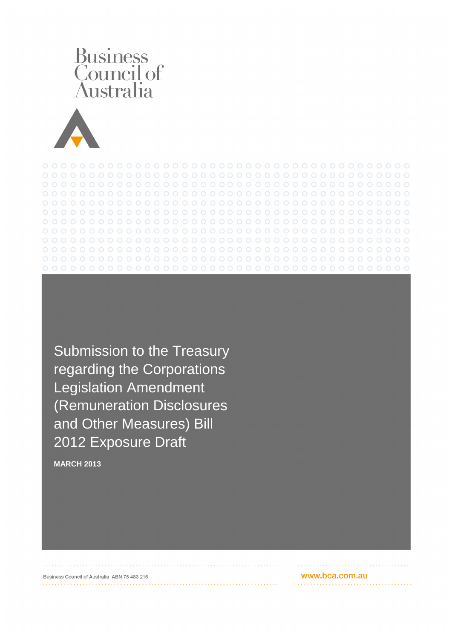# Business<br>Council of<br>Australia



Submission to the Treasury regarding the Corporations Legislation Amendment (Remuneration Disclosures and Other Measures) Bill 2012 Exposure Draft

**MARCH 2013**

Business Council of Australia ABN 75 483 216

www.bca.com.au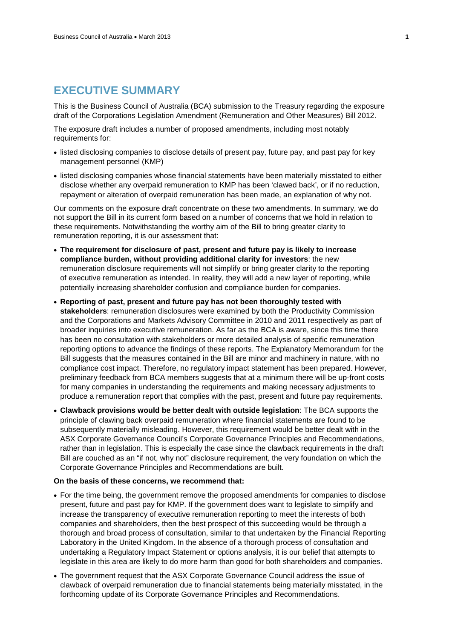# **EXECUTIVE SUMMARY**

This is the Business Council of Australia (BCA) submission to the Treasury regarding the exposure draft of the Corporations Legislation Amendment (Remuneration and Other Measures) Bill 2012.

The exposure draft includes a number of proposed amendments, including most notably requirements for:

- listed disclosing companies to disclose details of present pay, future pay, and past pay for key management personnel (KMP)
- listed disclosing companies whose financial statements have been materially misstated to either disclose whether any overpaid remuneration to KMP has been 'clawed back', or if no reduction, repayment or alteration of overpaid remuneration has been made, an explanation of why not.

Our comments on the exposure draft concentrate on these two amendments. In summary, we do not support the Bill in its current form based on a number of concerns that we hold in relation to these requirements. Notwithstanding the worthy aim of the Bill to bring greater clarity to remuneration reporting, it is our assessment that:

- **The requirement for disclosure of past, present and future pay is likely to increase compliance burden, without providing additional clarity for investors**: the new remuneration disclosure requirements will not simplify or bring greater clarity to the reporting of executive remuneration as intended. In reality, they will add a new layer of reporting, while potentially increasing shareholder confusion and compliance burden for companies.
- **Reporting of past, present and future pay has not been thoroughly tested with stakeholders**: remuneration disclosures were examined by both the Productivity Commission and the Corporations and Markets Advisory Committee in 2010 and 2011 respectively as part of broader inquiries into executive remuneration. As far as the BCA is aware, since this time there has been no consultation with stakeholders or more detailed analysis of specific remuneration reporting options to advance the findings of these reports. The Explanatory Memorandum for the Bill suggests that the measures contained in the Bill are minor and machinery in nature, with no compliance cost impact. Therefore, no regulatory impact statement has been prepared. However, preliminary feedback from BCA members suggests that at a minimum there will be up-front costs for many companies in understanding the requirements and making necessary adjustments to produce a remuneration report that complies with the past, present and future pay requirements.
- **Clawback provisions would be better dealt with outside legislation**: The BCA supports the principle of clawing back overpaid remuneration where financial statements are found to be subsequently materially misleading. However, this requirement would be better dealt with in the ASX Corporate Governance Council's Corporate Governance Principles and Recommendations, rather than in legislation. This is especially the case since the clawback requirements in the draft Bill are couched as an "if not, why not" disclosure requirement, the very foundation on which the Corporate Governance Principles and Recommendations are built.

#### **On the basis of these concerns, we recommend that:**

- For the time being, the government remove the proposed amendments for companies to disclose present, future and past pay for KMP. If the government does want to legislate to simplify and increase the transparency of executive remuneration reporting to meet the interests of both companies and shareholders, then the best prospect of this succeeding would be through a thorough and broad process of consultation, similar to that undertaken by the Financial Reporting Laboratory in the United Kingdom. In the absence of a thorough process of consultation and undertaking a Regulatory Impact Statement or options analysis, it is our belief that attempts to legislate in this area are likely to do more harm than good for both shareholders and companies.
- The government request that the ASX Corporate Governance Council address the issue of clawback of overpaid remuneration due to financial statements being materially misstated, in the forthcoming update of its Corporate Governance Principles and Recommendations.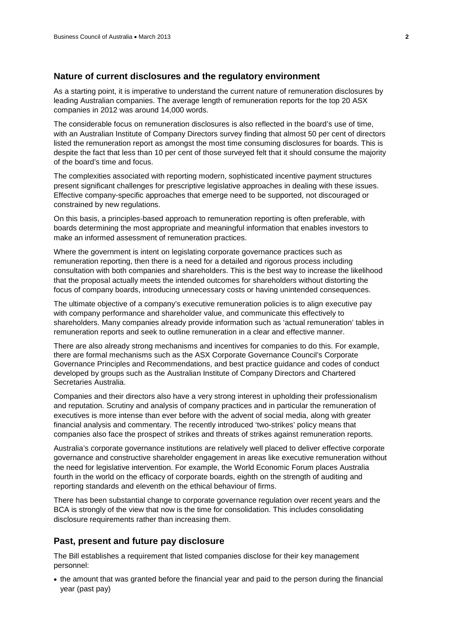### **Nature of current disclosures and the regulatory environment**

As a starting point, it is imperative to understand the current nature of remuneration disclosures by leading Australian companies. The average length of remuneration reports for the top 20 ASX companies in 2012 was around 14,000 words.

The considerable focus on remuneration disclosures is also reflected in the board's use of time, with an Australian Institute of Company Directors survey finding that almost 50 per cent of directors listed the remuneration report as amongst the most time consuming disclosures for boards. This is despite the fact that less than 10 per cent of those surveyed felt that it should consume the majority of the board's time and focus.

The complexities associated with reporting modern, sophisticated incentive payment structures present significant challenges for prescriptive legislative approaches in dealing with these issues. Effective company-specific approaches that emerge need to be supported, not discouraged or constrained by new regulations.

On this basis, a principles-based approach to remuneration reporting is often preferable, with boards determining the most appropriate and meaningful information that enables investors to make an informed assessment of remuneration practices.

Where the government is intent on legislating corporate governance practices such as remuneration reporting, then there is a need for a detailed and rigorous process including consultation with both companies and shareholders. This is the best way to increase the likelihood that the proposal actually meets the intended outcomes for shareholders without distorting the focus of company boards, introducing unnecessary costs or having unintended consequences.

The ultimate objective of a company's executive remuneration policies is to align executive pay with company performance and shareholder value, and communicate this effectively to shareholders. Many companies already provide information such as 'actual remuneration' tables in remuneration reports and seek to outline remuneration in a clear and effective manner.

There are also already strong mechanisms and incentives for companies to do this. For example, there are formal mechanisms such as the ASX Corporate Governance Council's Corporate Governance Principles and Recommendations, and best practice guidance and codes of conduct developed by groups such as the Australian Institute of Company Directors and Chartered Secretaries Australia.

Companies and their directors also have a very strong interest in upholding their professionalism and reputation. Scrutiny and analysis of company practices and in particular the remuneration of executives is more intense than ever before with the advent of social media, along with greater financial analysis and commentary. The recently introduced 'two-strikes' policy means that companies also face the prospect of strikes and threats of strikes against remuneration reports.

Australia's corporate governance institutions are relatively well placed to deliver effective corporate governance and constructive shareholder engagement in areas like executive remuneration without the need for legislative intervention. For example, the World Economic Forum places Australia fourth in the world on the efficacy of corporate boards, eighth on the strength of auditing and reporting standards and eleventh on the ethical behaviour of firms.

There has been substantial change to corporate governance regulation over recent years and the BCA is strongly of the view that now is the time for consolidation. This includes consolidating disclosure requirements rather than increasing them.

#### **Past, present and future pay disclosure**

The Bill establishes a requirement that listed companies disclose for their key management personnel:

• the amount that was granted before the financial year and paid to the person during the financial year (past pay)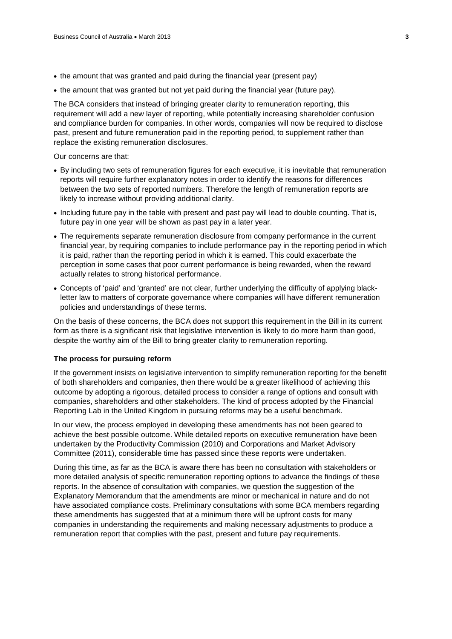- the amount that was granted and paid during the financial year (present pay)
- the amount that was granted but not yet paid during the financial year (future pay).

The BCA considers that instead of bringing greater clarity to remuneration reporting, this requirement will add a new layer of reporting, while potentially increasing shareholder confusion and compliance burden for companies. In other words, companies will now be required to disclose past, present and future remuneration paid in the reporting period, to supplement rather than replace the existing remuneration disclosures.

Our concerns are that:

- By including two sets of remuneration figures for each executive, it is inevitable that remuneration reports will require further explanatory notes in order to identify the reasons for differences between the two sets of reported numbers. Therefore the length of remuneration reports are likely to increase without providing additional clarity.
- Including future pay in the table with present and past pay will lead to double counting. That is, future pay in one year will be shown as past pay in a later year.
- The requirements separate remuneration disclosure from company performance in the current financial year, by requiring companies to include performance pay in the reporting period in which it is paid, rather than the reporting period in which it is earned. This could exacerbate the perception in some cases that poor current performance is being rewarded, when the reward actually relates to strong historical performance.
- Concepts of 'paid' and 'granted' are not clear, further underlying the difficulty of applying blackletter law to matters of corporate governance where companies will have different remuneration policies and understandings of these terms.

On the basis of these concerns, the BCA does not support this requirement in the Bill in its current form as there is a significant risk that legislative intervention is likely to do more harm than good, despite the worthy aim of the Bill to bring greater clarity to remuneration reporting.

#### **The process for pursuing reform**

If the government insists on legislative intervention to simplify remuneration reporting for the benefit of both shareholders and companies, then there would be a greater likelihood of achieving this outcome by adopting a rigorous, detailed process to consider a range of options and consult with companies, shareholders and other stakeholders. The kind of process adopted by the Financial Reporting Lab in the United Kingdom in pursuing reforms may be a useful benchmark.

In our view, the process employed in developing these amendments has not been geared to achieve the best possible outcome. While detailed reports on executive remuneration have been undertaken by the Productivity Commission (2010) and Corporations and Market Advisory Committee (2011), considerable time has passed since these reports were undertaken.

During this time, as far as the BCA is aware there has been no consultation with stakeholders or more detailed analysis of specific remuneration reporting options to advance the findings of these reports. In the absence of consultation with companies, we question the suggestion of the Explanatory Memorandum that the amendments are minor or mechanical in nature and do not have associated compliance costs. Preliminary consultations with some BCA members regarding these amendments has suggested that at a minimum there will be upfront costs for many companies in understanding the requirements and making necessary adjustments to produce a remuneration report that complies with the past, present and future pay requirements.